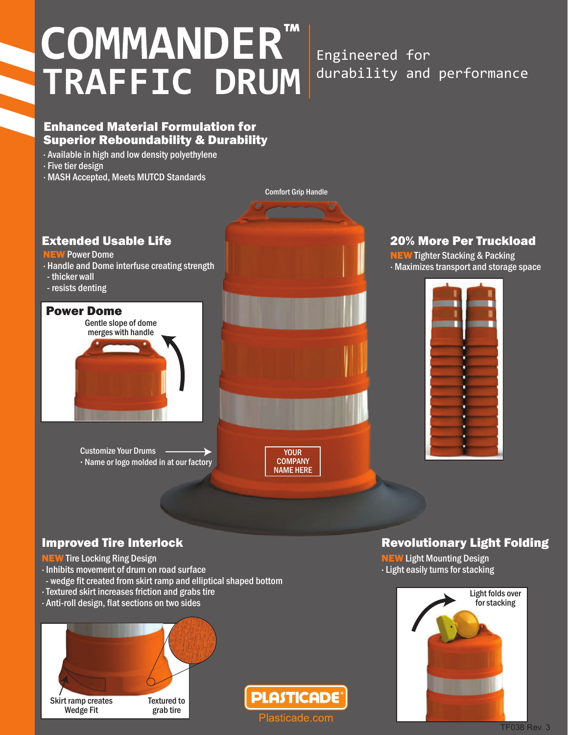# COMMANDER™ TRAFFIC DRUM

Engineered for durability and performance

#### Enhanced Material Formulation for Superior Reboundability & Durability

- ∙ Available in high and low density polyethylene
- ∙ Five tier design
- ∙ MASH Accepted, Meets MUTCD Standards



### 20% More Per Truckload

**IEW** Tighter Stacking & Packing ∙ Maximizes transport and storage space



#### Improved Tire Interlock

- **NEW** Tire Locking Ring Design
- ∙ Inhibits movement of drum on road surface
- wedge fit created from skirt ramp and elliptical shaped bottom
- ∙ Textured skirt increases friction and grabs tire
- ∙ Anti-roll design, flat sections on two sides





#### Revolutionary Light Folding

NEW Light Mounting Design ∙ Light easily turns for stacking